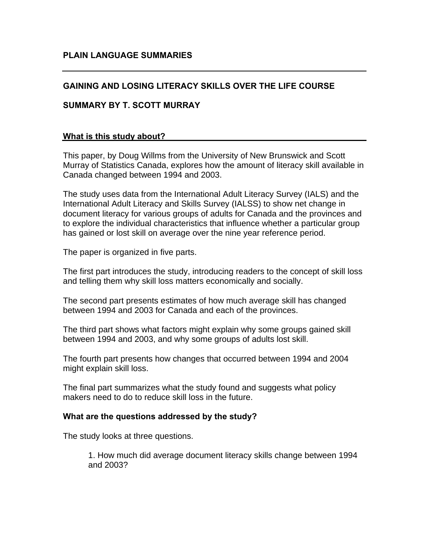# **GAINING AND LOSING LITERACY SKILLS OVER THE LIFE COURSE**

### **SUMMARY BY T. SCOTT MURRAY**

### **What is this study about?**

This paper, by Doug Willms from the University of New Brunswick and Scott Murray of Statistics Canada, explores how the amount of literacy skill available in Canada changed between 1994 and 2003.

The study uses data from the International Adult Literacy Survey (IALS) and the International Adult Literacy and Skills Survey (IALSS) to show net change in document literacy for various groups of adults for Canada and the provinces and to explore the individual characteristics that influence whether a particular group has gained or lost skill on average over the nine year reference period.

The paper is organized in five parts.

The first part introduces the study, introducing readers to the concept of skill loss and telling them why skill loss matters economically and socially.

The second part presents estimates of how much average skill has changed between 1994 and 2003 for Canada and each of the provinces.

The third part shows what factors might explain why some groups gained skill between 1994 and 2003, and why some groups of adults lost skill.

The fourth part presents how changes that occurred between 1994 and 2004 might explain skill loss.

The final part summarizes what the study found and suggests what policy makers need to do to reduce skill loss in the future.

#### **What are the questions addressed by the study?**

The study looks at three questions.

1. How much did average document literacy skills change between 1994 and 2003?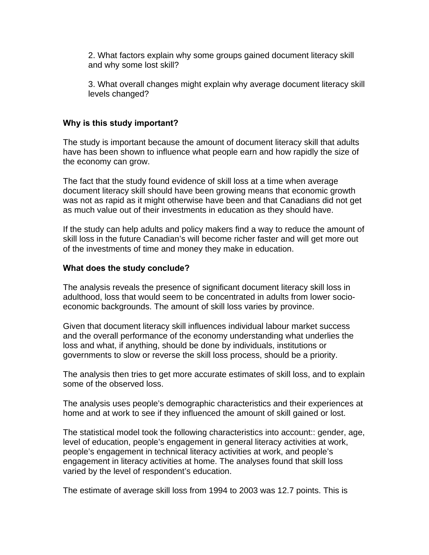2. What factors explain why some groups gained document literacy skill and why some lost skill?

3. What overall changes might explain why average document literacy skill levels changed?

## **Why is this study important?**

The study is important because the amount of document literacy skill that adults have has been shown to influence what people earn and how rapidly the size of the economy can grow.

The fact that the study found evidence of skill loss at a time when average document literacy skill should have been growing means that economic growth was not as rapid as it might otherwise have been and that Canadians did not get as much value out of their investments in education as they should have.

If the study can help adults and policy makers find a way to reduce the amount of skill loss in the future Canadian's will become richer faster and will get more out of the investments of time and money they make in education.

### **What does the study conclude?**

The analysis reveals the presence of significant document literacy skill loss in adulthood, loss that would seem to be concentrated in adults from lower socioeconomic backgrounds. The amount of skill loss varies by province.

Given that document literacy skill influences individual labour market success and the overall performance of the economy understanding what underlies the loss and what, if anything, should be done by individuals, institutions or governments to slow or reverse the skill loss process, should be a priority.

The analysis then tries to get more accurate estimates of skill loss, and to explain some of the observed loss.

The analysis uses people's demographic characteristics and their experiences at home and at work to see if they influenced the amount of skill gained or lost.

The statistical model took the following characteristics into account:: gender, age, level of education, people's engagement in general literacy activities at work, people's engagement in technical literacy activities at work, and people's engagement in literacy activities at home. The analyses found that skill loss varied by the level of respondent's education.

The estimate of average skill loss from 1994 to 2003 was 12.7 points. This is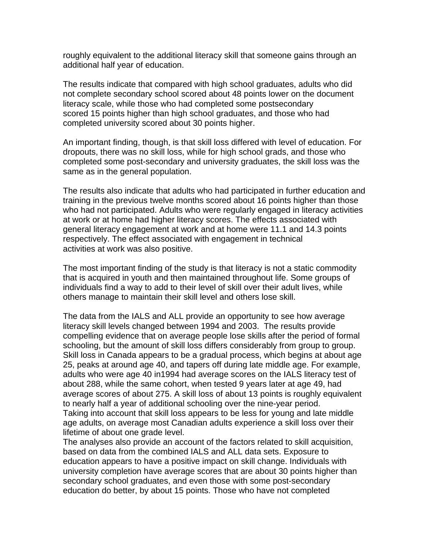roughly equivalent to the additional literacy skill that someone gains through an additional half year of education.

The results indicate that compared with high school graduates, adults who did not complete secondary school scored about 48 points lower on the document literacy scale, while those who had completed some postsecondary scored 15 points higher than high school graduates, and those who had completed university scored about 30 points higher.

An important finding, though, is that skill loss differed with level of education. For dropouts, there was no skill loss, while for high school grads, and those who completed some post-secondary and university graduates, the skill loss was the same as in the general population.

The results also indicate that adults who had participated in further education and training in the previous twelve months scored about 16 points higher than those who had not participated. Adults who were regularly engaged in literacy activities at work or at home had higher literacy scores. The effects associated with general literacy engagement at work and at home were 11.1 and 14.3 points respectively. The effect associated with engagement in technical activities at work was also positive.

The most important finding of the study is that literacy is not a static commodity that is acquired in youth and then maintained throughout life. Some groups of individuals find a way to add to their level of skill over their adult lives, while others manage to maintain their skill level and others lose skill.

The data from the IALS and ALL provide an opportunity to see how average literacy skill levels changed between 1994 and 2003. The results provide compelling evidence that on average people lose skills after the period of formal schooling, but the amount of skill loss differs considerably from group to group. Skill loss in Canada appears to be a gradual process, which begins at about age 25, peaks at around age 40, and tapers off during late middle age. For example, adults who were age 40 in1994 had average scores on the IALS literacy test of about 288, while the same cohort, when tested 9 years later at age 49, had average scores of about 275. A skill loss of about 13 points is roughly equivalent to nearly half a year of additional schooling over the nine-year period. Taking into account that skill loss appears to be less for young and late middle age adults, on average most Canadian adults experience a skill loss over their lifetime of about one grade level.

The analyses also provide an account of the factors related to skill acquisition, based on data from the combined IALS and ALL data sets. Exposure to education appears to have a positive impact on skill change. Individuals with university completion have average scores that are about 30 points higher than secondary school graduates, and even those with some post-secondary education do better, by about 15 points. Those who have not completed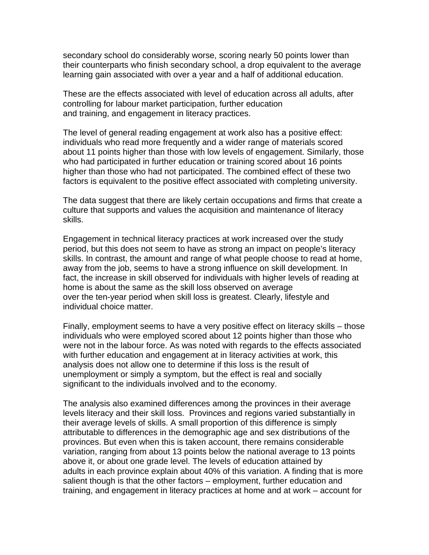secondary school do considerably worse, scoring nearly 50 points lower than their counterparts who finish secondary school, a drop equivalent to the average learning gain associated with over a year and a half of additional education.

These are the effects associated with level of education across all adults, after controlling for labour market participation, further education and training, and engagement in literacy practices.

The level of general reading engagement at work also has a positive effect: individuals who read more frequently and a wider range of materials scored about 11 points higher than those with low levels of engagement. Similarly, those who had participated in further education or training scored about 16 points higher than those who had not participated. The combined effect of these two factors is equivalent to the positive effect associated with completing university.

The data suggest that there are likely certain occupations and firms that create a culture that supports and values the acquisition and maintenance of literacy skills.

Engagement in technical literacy practices at work increased over the study period, but this does not seem to have as strong an impact on people's literacy skills. In contrast, the amount and range of what people choose to read at home, away from the job, seems to have a strong influence on skill development. In fact, the increase in skill observed for individuals with higher levels of reading at home is about the same as the skill loss observed on average over the ten-year period when skill loss is greatest. Clearly, lifestyle and individual choice matter.

Finally, employment seems to have a very positive effect on literacy skills – those individuals who were employed scored about 12 points higher than those who were not in the labour force. As was noted with regards to the effects associated with further education and engagement at in literacy activities at work, this analysis does not allow one to determine if this loss is the result of unemployment or simply a symptom, but the effect is real and socially significant to the individuals involved and to the economy.

The analysis also examined differences among the provinces in their average levels literacy and their skill loss. Provinces and regions varied substantially in their average levels of skills. A small proportion of this difference is simply attributable to differences in the demographic age and sex distributions of the provinces. But even when this is taken account, there remains considerable variation, ranging from about 13 points below the national average to 13 points above it, or about one grade level. The levels of education attained by adults in each province explain about 40% of this variation. A finding that is more salient though is that the other factors – employment, further education and training, and engagement in literacy practices at home and at work – account for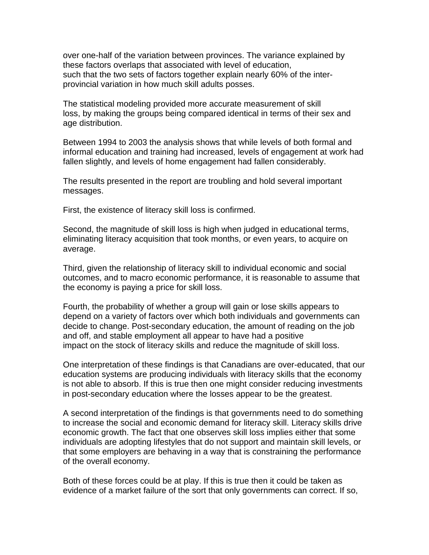over one-half of the variation between provinces. The variance explained by these factors overlaps that associated with level of education, such that the two sets of factors together explain nearly 60% of the interprovincial variation in how much skill adults posses.

The statistical modeling provided more accurate measurement of skill loss, by making the groups being compared identical in terms of their sex and age distribution.

Between 1994 to 2003 the analysis shows that while levels of both formal and informal education and training had increased, levels of engagement at work had fallen slightly, and levels of home engagement had fallen considerably.

The results presented in the report are troubling and hold several important messages.

First, the existence of literacy skill loss is confirmed.

Second, the magnitude of skill loss is high when judged in educational terms, eliminating literacy acquisition that took months, or even years, to acquire on average.

Third, given the relationship of literacy skill to individual economic and social outcomes, and to macro economic performance, it is reasonable to assume that the economy is paying a price for skill loss.

Fourth, the probability of whether a group will gain or lose skills appears to depend on a variety of factors over which both individuals and governments can decide to change. Post-secondary education, the amount of reading on the job and off, and stable employment all appear to have had a positive impact on the stock of literacy skills and reduce the magnitude of skill loss.

One interpretation of these findings is that Canadians are over-educated, that our education systems are producing individuals with literacy skills that the economy is not able to absorb. If this is true then one might consider reducing investments in post-secondary education where the losses appear to be the greatest.

A second interpretation of the findings is that governments need to do something to increase the social and economic demand for literacy skill. Literacy skills drive economic growth. The fact that one observes skill loss implies either that some individuals are adopting lifestyles that do not support and maintain skill levels, or that some employers are behaving in a way that is constraining the performance of the overall economy.

Both of these forces could be at play. If this is true then it could be taken as evidence of a market failure of the sort that only governments can correct. If so,